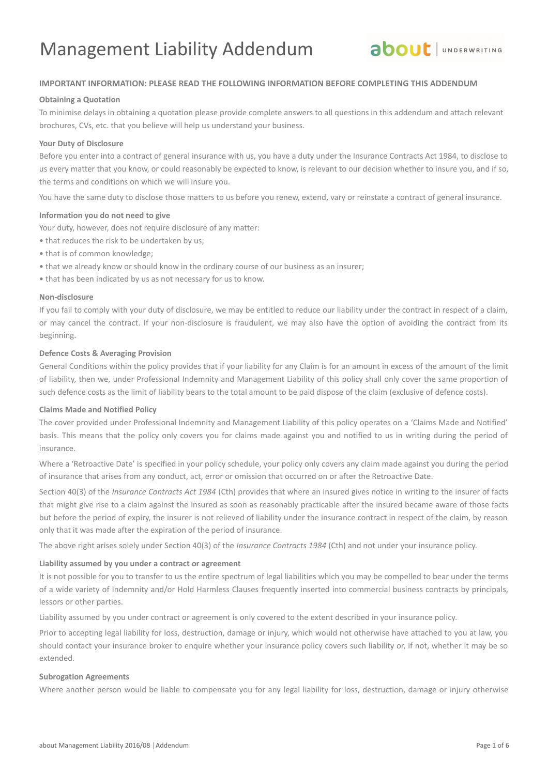

## **IMPORTANT INFORMATION: PLEASE READ THE FOLLOWING INFORMATION BEFORE COMPLETING THIS ADDENDUM**

#### **Obtaining a Quotation**

To minimise delays in obtaining a quotation please provide complete answers to all questions in this addendum and attach relevant brochures, CVs, etc. that you believe will help us understand your business.

#### **Your Duty of Disclosure**

Before you enter into a contract of general insurance with us, you have a duty under the Insurance Contracts Act 1984, to disclose to us every matter that you know, or could reasonably be expected to know, is relevant to our decision whether to insure you, and if so, the terms and conditions on which we will insure you.

You have the same duty to disclose those matters to us before you renew, extend, vary or reinstate a contract of general insurance.

#### **Information you do not need to give**

Your duty, however, does not require disclosure of any matter:

- that reduces the risk to be undertaken by us;
- that is of common knowledge;
- that we already know or should know in the ordinary course of our business as an insurer;
- that has been indicated by us as not necessary for us to know.

### **Non-disclosure**

If you fail to comply with your duty of disclosure, we may be entitled to reduce our liability under the contract in respect of a claim, or may cancel the contract. If your non-disclosure is fraudulent, we may also have the option of avoiding the contract from its beginning.

#### **Defence Costs & Averaging Provision**

General Conditions within the policy provides that if your liability for any Claim is for an amount in excess of the amount of the limit of liability, then we, under Professional Indemnity and Management Liability of this policy shall only cover the same proportion of such defence costs as the limit of liability bears to the total amount to be paid dispose of the claim (exclusive of defence costs).

#### **Claims Made and Notified Policy**

The cover provided under Professional Indemnity and Management Liability of this policy operates on a 'Claims Made and Notified' basis. This means that the policy only covers you for claims made against you and notified to us in writing during the period of insurance.

Where a 'Retroactive Date' is specified in your policy schedule, your policy only covers any claim made against you during the period of insurance that arises from any conduct, act, error or omission that occurred on or after the Retroactive Date.

Section 40(3) of the *Insurance Contracts Act 1984* (Cth) provides that where an insured gives notice in writing to the insurer of facts that might give rise to a claim against the insured as soon as reasonably practicable after the insured became aware of those facts but before the period of expiry, the insurer is not relieved of liability under the insurance contract in respect of the claim, by reason only that it was made after the expiration of the period of insurance.

The above right arises solely under Section 40(3) of the *Insurance Contracts 1984* (Cth) and not under your insurance policy.

#### **Liability assumed by you under a contract or agreement**

It is not possible for you to transfer to us the entire spectrum of legal liabilities which you may be compelled to bear under the terms of a wide variety of Indemnity and/or Hold Harmless Clauses frequently inserted into commercial business contracts by principals, lessors or other parties.

Liability assumed by you under contract or agreement is only covered to the extent described in your insurance policy.

Prior to accepting legal liability for loss, destruction, damage or injury, which would not otherwise have attached to you at law, you should contact your insurance broker to enquire whether your insurance policy covers such liability or, if not, whether it may be so extended.

#### **Subrogation Agreements**

Where another person would be liable to compensate you for any legal liability for loss, destruction, damage or injury otherwise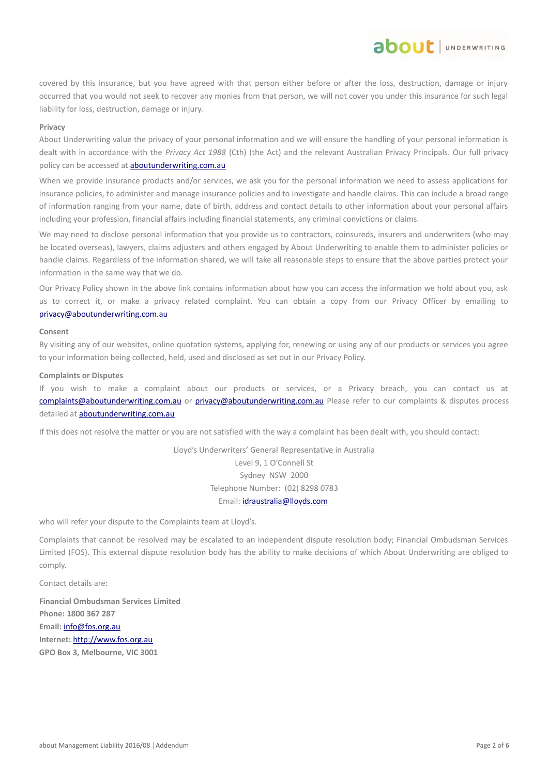covered by this insurance, but you have agreed with that person either before or after the loss, destruction, damage or injury occurred that you would not seek to recover any monies from that person, we will not cover you under this insurance for such legal liability for loss, destruction, damage or injury.

**ADOUL** UNDERWRITING

#### **Privacy**

About Underwriting value the privacy of your personal information and we will ensure the handling of your personal information is dealt with in accordance with the *Privacy Act 1988* (Cth) (the Act) and the relevant Australian Privacy Principals. Our full privacy policy can be accessed at **aboutunderwriting.com.au** 

When we provide insurance products and/or services, we ask you for the personal information we need to assess applications for insurance policies, to administer and manage insurance policies and to investigate and handle claims. This can include a broad range of information ranging from your name, date of birth, address and contact details to other information about your personal affairs including your profession, financial affairs including financial statements, any criminal convictions or claims.

We may need to disclose personal information that you provide us to contractors, coinsureds, insurers and underwriters (who may be located overseas), lawyers, claims adjusters and others engaged by About Underwriting to enable them to administer policies or handle claims. Regardless of the information shared, we will take all reasonable steps to ensure that the above parties protect your information in the same way that we do.

Our Privacy Policy shown in the above link contains information about how you can access the information we hold about you, ask us to correct it, or make a privacy related complaint. You can obtain a copy from our Privacy Officer by emailing to [privacy@aboutunderwriting.com.au](mailto:privacy@aboutunderwriting.com.au)

#### **Consent**

By visiting any of our websites, online quotation systems, applying for, renewing or using any of our products or services you agree to your information being collected, held, used and disclosed as set out in our Privacy Policy.

#### **Complaints or Disputes**

If you wish to make a complaint about our products or services, or a Privacy breach, you can contact us at [complaints@aboutunderwriting.com.au](mailto:complaints@aboutunderwriting.com.au) or [privacy@aboutunderwriting.com.au](mailto:privacy@aboutunderwriting.com.au) Please refer to our complaints & disputes process detailed at [aboutunderwriting.com.au](http://www.aboutunderwriting.com.au/)

If this does not resolve the matter or you are not satisfied with the way a complaint has been dealt with, you should contact:

Lloyd's Underwriters' General Representative in Australia Level 9, 1 O'Connell St Sydney NSW 2000 Telephone Number: (02) 8298 0783 Email: [idraustralia@lloyds.com](mailto:idraustralia@lloyds.com)

who will refer your dispute to the Complaints team at Lloyd's.

Complaints that cannot be resolved may be escalated to an independent dispute resolution body; Financial Ombudsman Services Limited (FOS). This external dispute resolution body has the ability to make decisions of which About Underwriting are obliged to comply.

Contact details are:

**Financial Ombudsman Services Limited Phone: 1800 367 287 Email:** [info@fos.org.au](mailto:info@fos.org.au) **Internet:** [http://www.fos.org.au](http://www.fos.org.au/) **GPO Box 3, Melbourne, VIC 3001**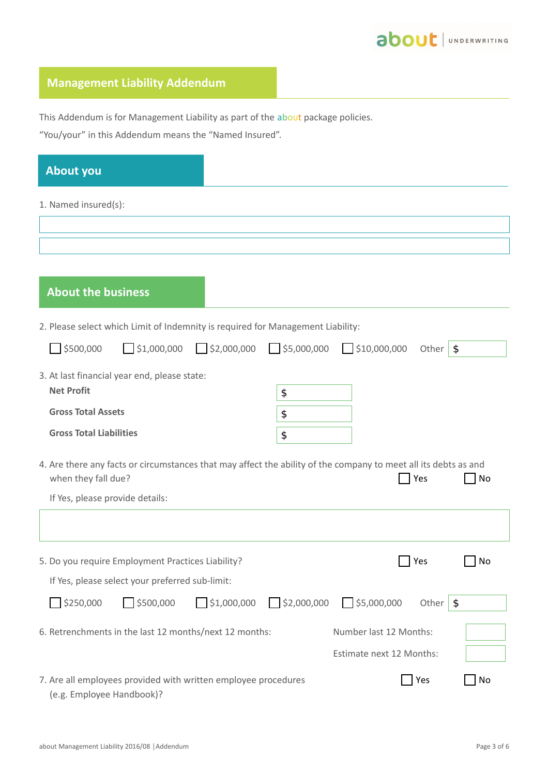# **Management Liability Addendum**

This Addendum is for Management Liability as part of the about package policies.

"You/your" in this Addendum means the "Named Insured".

| <b>About you</b>                                                                            |                                                                                                                              |
|---------------------------------------------------------------------------------------------|------------------------------------------------------------------------------------------------------------------------------|
| 1. Named insured(s):                                                                        |                                                                                                                              |
|                                                                                             |                                                                                                                              |
|                                                                                             |                                                                                                                              |
|                                                                                             |                                                                                                                              |
| <b>About the business</b>                                                                   |                                                                                                                              |
| 2. Please select which Limit of Indemnity is required for Management Liability:             |                                                                                                                              |
| 5500,000<br>$\bigcap$ \$1,000,000<br>52,000,000                                             | $\sqrt{\frac{1}{55,000,000}}$ $\sqrt{\frac{1}{510,000,000}}$<br>$\sqrt{3}$<br>Other                                          |
| 3. At last financial year end, please state:                                                |                                                                                                                              |
| <b>Net Profit</b>                                                                           | \$                                                                                                                           |
| <b>Gross Total Assets</b>                                                                   | \$                                                                                                                           |
| <b>Gross Total Liabilities</b>                                                              | \$                                                                                                                           |
| when they fall due?                                                                         | 4. Are there any facts or circumstances that may affect the ability of the company to meet all its debts as and<br>Yes<br>No |
| If Yes, please provide details:                                                             |                                                                                                                              |
|                                                                                             |                                                                                                                              |
| 5. Do you require Employment Practices Liability?                                           | Yes<br>No                                                                                                                    |
| If Yes, please select your preferred sub-limit:                                             |                                                                                                                              |
| $\Box$ \$500,000<br>$\bigcup$ \$250,000                                                     | $\frac{1}{2}$ \$1,000,000 $\frac{1}{2}$ \$2,000,000<br>5,000,000<br>\$<br>Other                                              |
| 6. Retrenchments in the last 12 months/next 12 months:                                      | Number last 12 Months:                                                                                                       |
|                                                                                             | Estimate next 12 Months:                                                                                                     |
| 7. Are all employees provided with written employee procedures<br>(e.g. Employee Handbook)? | $\blacksquare$ Yes<br>No                                                                                                     |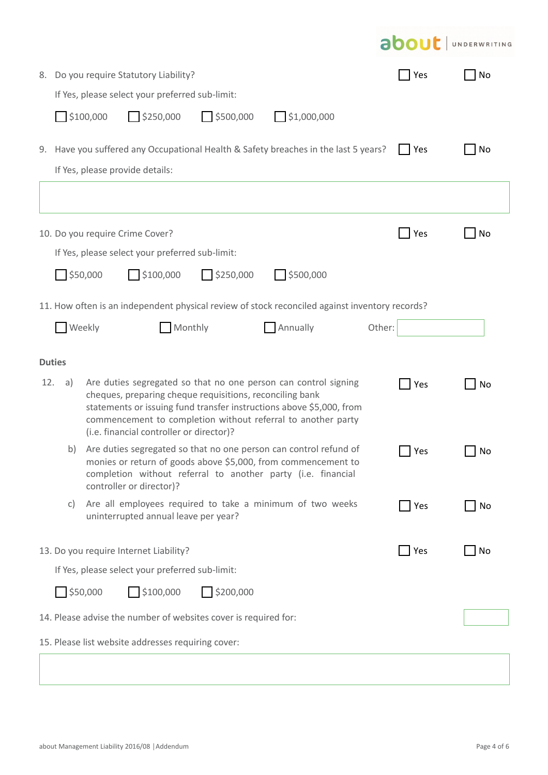|                                                                 |                                                                                                                                                                                                                                                                                                                              |                         |                                                 |                         |                                                                                                                                                                                                    |        |                    | <b>about</b> JUNDERWRITING |
|-----------------------------------------------------------------|------------------------------------------------------------------------------------------------------------------------------------------------------------------------------------------------------------------------------------------------------------------------------------------------------------------------------|-------------------------|-------------------------------------------------|-------------------------|----------------------------------------------------------------------------------------------------------------------------------------------------------------------------------------------------|--------|--------------------|----------------------------|
|                                                                 |                                                                                                                                                                                                                                                                                                                              |                         | 8. Do you require Statutory Liability?          |                         |                                                                                                                                                                                                    |        | $\vert$ Yes        | No                         |
|                                                                 |                                                                                                                                                                                                                                                                                                                              |                         | If Yes, please select your preferred sub-limit: |                         |                                                                                                                                                                                                    |        |                    |                            |
|                                                                 |                                                                                                                                                                                                                                                                                                                              | $\frac{1}{2}$ \$100,000 | $\bigcap$ \$250,000                             | $\Box$ \$500,000        | $\frac{1}{2}$ \$1,000,000                                                                                                                                                                          |        |                    |                            |
|                                                                 |                                                                                                                                                                                                                                                                                                                              |                         |                                                 |                         | 9. Have you suffered any Occupational Health & Safety breaches in the last 5 years?                                                                                                                |        | Yes                | No                         |
|                                                                 |                                                                                                                                                                                                                                                                                                                              |                         | If Yes, please provide details:                 |                         |                                                                                                                                                                                                    |        |                    |                            |
|                                                                 |                                                                                                                                                                                                                                                                                                                              |                         |                                                 |                         |                                                                                                                                                                                                    |        |                    |                            |
|                                                                 |                                                                                                                                                                                                                                                                                                                              |                         | 10. Do you require Crime Cover?                 |                         |                                                                                                                                                                                                    |        | Yes                | <b>No</b>                  |
|                                                                 |                                                                                                                                                                                                                                                                                                                              |                         | If Yes, please select your preferred sub-limit: |                         |                                                                                                                                                                                                    |        |                    |                            |
|                                                                 |                                                                                                                                                                                                                                                                                                                              | 550,000                 | \$100,000                                       | $\frac{1}{2}$ \$250,000 | 5500,000                                                                                                                                                                                           |        |                    |                            |
|                                                                 |                                                                                                                                                                                                                                                                                                                              |                         |                                                 |                         | 11. How often is an independent physical review of stock reconciled against inventory records?                                                                                                     |        |                    |                            |
|                                                                 |                                                                                                                                                                                                                                                                                                                              | <b>Weekly</b>           | Monthly                                         |                         | Annually                                                                                                                                                                                           | Other: |                    |                            |
|                                                                 |                                                                                                                                                                                                                                                                                                                              |                         |                                                 |                         |                                                                                                                                                                                                    |        |                    |                            |
|                                                                 | <b>Duties</b>                                                                                                                                                                                                                                                                                                                |                         |                                                 |                         |                                                                                                                                                                                                    |        |                    |                            |
|                                                                 | 12.<br>Are duties segregated so that no one person can control signing<br>a)<br>cheques, preparing cheque requisitions, reconciling bank<br>statements or issuing fund transfer instructions above \$5,000, from<br>commencement to completion without referral to another party<br>(i.e. financial controller or director)? |                         |                                                 |                         | <b>Yes</b>                                                                                                                                                                                         | No     |                    |                            |
|                                                                 | b)                                                                                                                                                                                                                                                                                                                           |                         | controller or director)?                        |                         | Are duties segregated so that no one person can control refund of<br>monies or return of goods above \$5,000, from commencement to<br>completion without referral to another party (i.e. financial |        | Yes                | No                         |
|                                                                 | C)                                                                                                                                                                                                                                                                                                                           |                         | uninterrupted annual leave per year?            |                         | Are all employees required to take a minimum of two weeks                                                                                                                                          |        | $\blacksquare$ Yes | No                         |
|                                                                 |                                                                                                                                                                                                                                                                                                                              |                         | 13. Do you require Internet Liability?          |                         |                                                                                                                                                                                                    |        | $\Box$ Yes         | No                         |
|                                                                 |                                                                                                                                                                                                                                                                                                                              |                         | If Yes, please select your preferred sub-limit: |                         |                                                                                                                                                                                                    |        |                    |                            |
|                                                                 |                                                                                                                                                                                                                                                                                                                              | $\frac{1}{2}$ \$50,000  | $\frac{1}{2}$ \$100,000                         | \$200,000               |                                                                                                                                                                                                    |        |                    |                            |
| 14. Please advise the number of websites cover is required for: |                                                                                                                                                                                                                                                                                                                              |                         |                                                 |                         |                                                                                                                                                                                                    |        |                    |                            |
| 15. Please list website addresses requiring cover:              |                                                                                                                                                                                                                                                                                                                              |                         |                                                 |                         |                                                                                                                                                                                                    |        |                    |                            |
|                                                                 |                                                                                                                                                                                                                                                                                                                              |                         |                                                 |                         |                                                                                                                                                                                                    |        |                    |                            |
|                                                                 |                                                                                                                                                                                                                                                                                                                              |                         |                                                 |                         |                                                                                                                                                                                                    |        |                    |                            |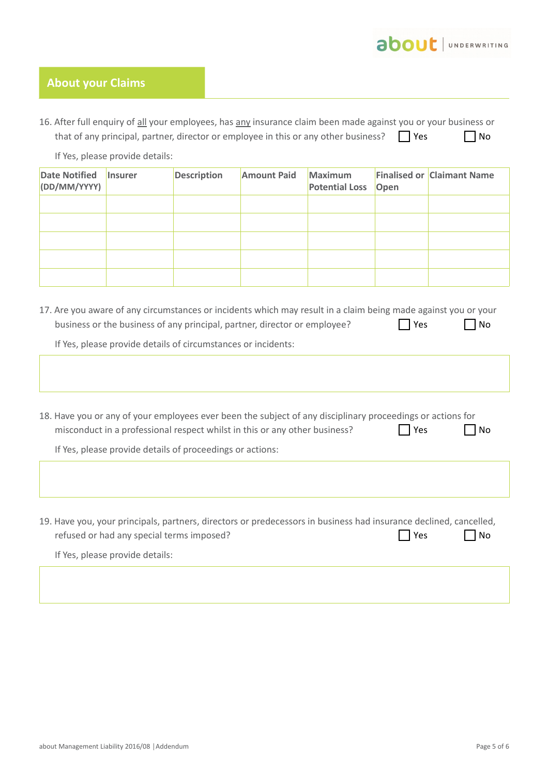

# **About your Claims**

| 16. After full enquiry of all your employees, has any insurance claim been made against you or your business or |            |           |
|-----------------------------------------------------------------------------------------------------------------|------------|-----------|
| that of any principal, partner, director or employee in this or any other business?                             | $\Box$ Yes | $\Box$ No |

If Yes, please provide details:

| <b>Date Notified</b><br>(DD/MM/YYYY) | <i>Insurer</i> | <b>Description</b> | <b>Amount Paid</b> | <b>Maximum</b><br><b>Potential Loss Open</b> | <b>Finalised or Claimant Name</b> |
|--------------------------------------|----------------|--------------------|--------------------|----------------------------------------------|-----------------------------------|
|                                      |                |                    |                    |                                              |                                   |
|                                      |                |                    |                    |                                              |                                   |
|                                      |                |                    |                    |                                              |                                   |
|                                      |                |                    |                    |                                              |                                   |
|                                      |                |                    |                    |                                              |                                   |

17. Are you aware of any circumstances or incidents which may result in a claim being made against you or your business or the business of any principal, partner, director or employee?  $\Box$  Yes  $\Box$  No

If Yes, please provide details of circumstances or incidents:

| 18. Have you or any of your employees ever been the subject of any disciplinary proceedings or actions for<br>misconduct in a professional respect whilst in this or any other business? | Yes | No        |
|------------------------------------------------------------------------------------------------------------------------------------------------------------------------------------------|-----|-----------|
| If Yes, please provide details of proceedings or actions:                                                                                                                                |     |           |
|                                                                                                                                                                                          |     |           |
|                                                                                                                                                                                          |     |           |
|                                                                                                                                                                                          |     |           |
| 19. Have you, your principals, partners, directors or predecessors in business had insurance declined, cancelled,<br>refused or had any special terms imposed?                           | Yes | <b>No</b> |
| If Yes, please provide details:                                                                                                                                                          |     |           |